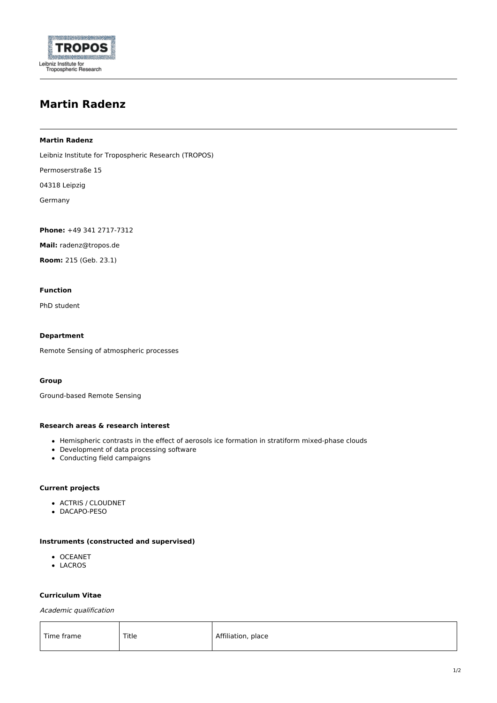

# **Martin Radenz**

## **Martin Radenz**

Leibniz Institute for Tropospheric Research (TROPOS)

Permoserstraße 15

04318 Leipzig

Germany

**Phone:** +49 341 2717-7312

**Mail:** radenz@tropos.de

**Room:** 215 (Geb. 23.1)

# **Function**

PhD student

## **Department**

Remote Sensing of [atmospheric](https://www.tropos.de/en/institute/departments/remote-sensing-of-atmospheric-processes-new/) processes

# **Group**

[Ground-based](https://www.tropos.de/en/institute/departments/remote-sensing-of-atmospheric-processes-new/ground-based-remote-sensing) Remote Sensing

## **Research areas & research interest**

- Hemispheric contrasts in the effect of aerosols ice formation in stratiform mixed-phase clouds
- Development of data processing software
- Conducting field campaigns

# **Current projects**

- [ACTRIS](https://www.tropos.de/en/research/projects-infrastructures-technology/coordinated-observations-and-networks/actris) / [CLOUDNET](https://www.tropos.de/en/research/projects-infrastructures-technology/coordinated-observations-and-networks/cloudnet)
- [DACAPO-PESO](https://dacapo.tropos.de/)

## **Instruments (constructed and supervised)**

- **[OCEANET](https://www.tropos.de/en/research/projects-infrastructures-technology/coordinated-observations-and-networks/oceanet)**
- [LACROS](https://www.tropos.de/en/research/projects-infrastructures-technology/coordinated-observations-and-networks/lacros)

#### **Curriculum Vitae**

Academic qualification

| Time frame | Title | Affiliation, place |
|------------|-------|--------------------|
|------------|-------|--------------------|